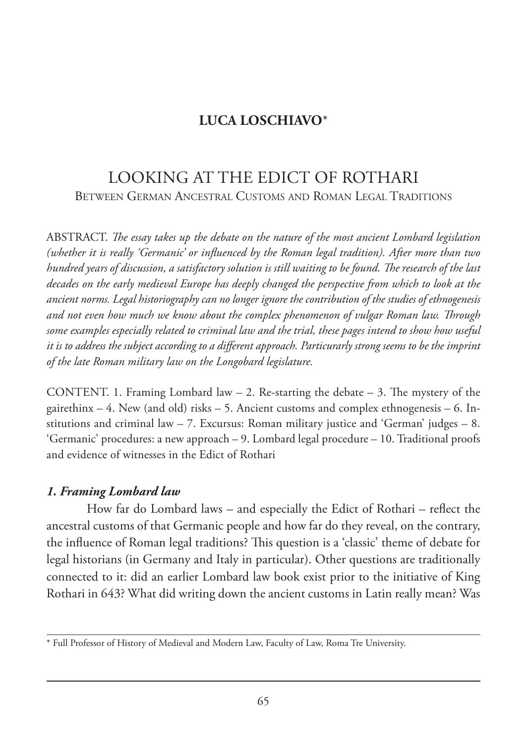# **LUCA LOSCHIAVO**\*

# LOOKING AT THE EDICT OF ROTHARI BETWEEN GERMAN ANCESTRAL CUSTOMS AND ROMAN LEGAL TRADITIONS

ABSTRACT. *The essay takes up the debate on the nature of the most ancient Lombard legislation (whether it is really 'Germanic' or influenced by the Roman legal tradition). After more than two hundred years of discussion, a satisfactory solution is still waiting to be found. The research of the last decades on the early medieval Europe has deeply changed the perspective from which to look at the ancient norms. Legal historiography can no longer ignore the contribution of the studies of ethnogenesis and not even how much we know about the complex phenomenon of vulgar Roman law. Through some examples especially related to criminal law and the trial, these pages intend to show how useful it is to address the subject according to a different approach. Particurarly strong seems to be the imprint of the late Roman military law on the Longobard legislature.*

CONTENT. 1. Framing Lombard law  $-$  2. Re-starting the debate  $-$  3. The mystery of the gairethinx  $-4$ . New (and old) risks  $-5$ . Ancient customs and complex ethnogenesis  $-6$ . Institutions and criminal law  $-7$ . Excursus: Roman military justice and 'German' judges  $-8$ . 'Germanic' procedures: a new approach – 9. Lombard legal procedure – 10. Traditional proofs and evidence of witnesses in the Edict of Rothari

#### *1. Framing Lombard law*

How far do Lombard laws – and especially the Edict of Rothari – reflect the ancestral customs of that Germanic people and how far do they reveal, on the contrary, the influence of Roman legal traditions? This question is a 'classic' theme of debate for legal historians (in Germany and Italy in particular). Other questions are traditionally connected to it: did an earlier Lombard law book exist prior to the initiative of King Rothari in 643? What did writing down the ancient customs in Latin really mean? Was

<sup>\*</sup> Full Professor of History of Medieval and Modern Law, Faculty of Law, Roma Tre University.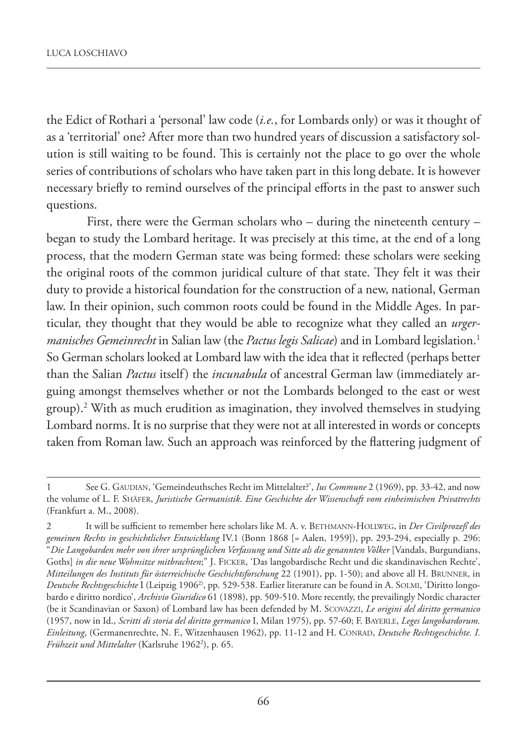the Edict of Rothari a 'personal' law code (*i.e.*, for Lombards only) or was it thought of as a 'territorial' one? After more than two hundred years of discussion a satisfactory solution is still waiting to be found. This is certainly not the place to go over the whole series of contributions of scholars who have taken part in this long debate. It is however necessary briefly to remind ourselves of the principal efforts in the past to answer such questions.

First, there were the German scholars who – during the nineteenth century – began to study the Lombard heritage. It was precisely at this time, at the end of a long process, that the modern German state was being formed: these scholars were seeking the original roots of the common juridical culture of that state. They felt it was their duty to provide a historical foundation for the construction of a new, national, German law. In their opinion, such common roots could be found in the Middle Ages. In particular, they thought that they would be able to recognize what they called an *urgermanisches Gemeinrecht* in Salian law (the *Pactus legis Salicae*) and in Lombard legislation.<sup>1</sup> So German scholars looked at Lombard law with the idea that it reflected (perhaps better than the Salian *Pactus* itself) the *incunabula* of ancestral German law (immediately arguing amongst themselves whether or not the Lombards belonged to the east or west group).2 With as much erudition as imagination, they involved themselves in studying Lombard norms. It is no surprise that they were not at all interested in words or concepts taken from Roman law. Such an approach was reinforced by the flattering judgment of

<sup>1</sup> See G. GAUDIAN, 'Gemeindeuthsches Recht im Mittelalter?', *Ius Commune* 2 (1969), pp. 33-42, and now the volume of L. F. SHÄFER, *Juristische Germanistik. Eine Geschichte der Wissenschaft vom einheimischen Privatrechts* (Frankfurt a. M., 2008).

<sup>2</sup> It will be sufficient to remember here scholars like M. A. v. BETHMANN-HOLLWEG, in *Der Civilprozeß des gemeinen Rechts in geschichtlicher Entwicklung* IV.1 (Bonn 1868 [= Aalen, 1959]), pp. 293-294, especially p. 296: "*Die Langobarden mehr von ihrer ursprünglichen Verfassung und Sitte als die genannten Völker* [Vandals, Burgundians, Goths] *in die neue Wohnsitze mitbrachten*;" J. FICKER, 'Das langobardische Recht und die skandinavischen Rechte', *Mitteilungen des Instituts für österreichische Geschichtsforschung* 22 (1901), pp. 1-50); and above all H. BRUNNER, in *Deutsche Rechtsgeschichte* I (Leipzig 19062), pp. 529-538. Earlier literature can be found in A. SOLMI, 'Diritto longobardo e diritto nordico', *Archivio Giuridico* 61 (1898), pp. 509-510. More recently, the prevailingly Nordic character (be it Scandinavian or Saxon) of Lombard law has been defended by M. SCOVAZZI, *Le origini del diritto germanico* (1957, now in Id., *Scritti di storia del diritto germanico* I, Milan 1975), pp. 57-60; F. BAYERLE, *Leges langobardorum. Einleitung*, (Germanenrechte, N. F., Witzenhausen 1962), pp. 11-12 and H. CONRAD, *Deutsche Rechtsgeschichte. I. Frühzeit und Mittelalter* (Karlsruhe 19622 ), p. 65.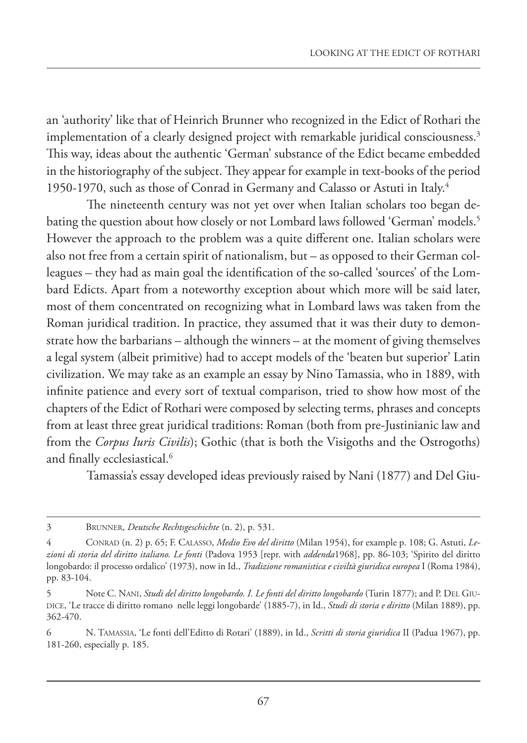an 'authority' like that of Heinrich Brunner who recognized in the Edict of Rothari the implementation of a clearly designed project with remarkable juridical consciousness.<sup>3</sup> This way, ideas about the authentic 'German' substance of the Edict became embedded in the historiography of the subject. They appear for example in text-books of the period 1950-1970, such as those of Conrad in Germany and Calasso or Astuti in Italy.4

The nineteenth century was not yet over when Italian scholars too began debating the question about how closely or not Lombard laws followed 'German' models.<sup>5</sup> However the approach to the problem was a quite different one. Italian scholars were also not free from a certain spirit of nationalism, but – as opposed to their German colleagues – they had as main goal the identification of the so-called 'sources' of the Lombard Edicts. Apart from a noteworthy exception about which more will be said later, most of them concentrated on recognizing what in Lombard laws was taken from the Roman juridical tradition. In practice, they assumed that it was their duty to demonstrate how the barbarians – although the winners – at the moment of giving themselves a legal system (albeit primitive) had to accept models of the 'beaten but superior' Latin civilization. We may take as an example an essay by Nino Tamassia, who in 1889, with infinite patience and every sort of textual comparison, tried to show how most of the chapters of the Edict of Rothari were composed by selecting terms, phrases and concepts from at least three great juridical traditions: Roman (both from pre-Justinianic law and from the *Corpus Iuris Civilis*); Gothic (that is both the Visigoths and the Ostrogoths) and finally ecclesiastical.<sup>6</sup>

Tamassia's essay developed ideas previously raised by Nani (1877) and Del Giu-

<sup>3</sup> BRUNNER, *Deutsche Rechtsgeschichte* (n. 2), p. 531.

<sup>4</sup> CONRAD (n. 2) p. 65; F. CALASSO, *Medio Evo del diritto* (Milan 1954), for example p. 108; G. Astuti, *Lezioni di storia del diritto italiano. Le fonti* (Padova 1953 [repr. with *addenda*1968], pp. 86-103; 'Spirito del diritto longobardo: il processo ordalico' (1973), now in Id., *Tradizione romanistica e civiltà giuridica europea* I (Roma 1984), pp. 83-104.

<sup>5</sup> Note C. NANI, *Studi del diritto longobardo. I. Le fonti del diritto longobardo* (Turin 1877); and P. DEL GIU-DICE, 'Le tracce di diritto romano nelle leggi longobarde' (1885-7), in Id., *Studi di storia e diritto* (Milan 1889), pp. 362-470.

<sup>6</sup> N. TAMASSIA, 'Le fonti dell'Editto di Rotari' (1889), in Id., *Scritti di storia giuridica* II (Padua 1967), pp. 181-260, especially p. 185.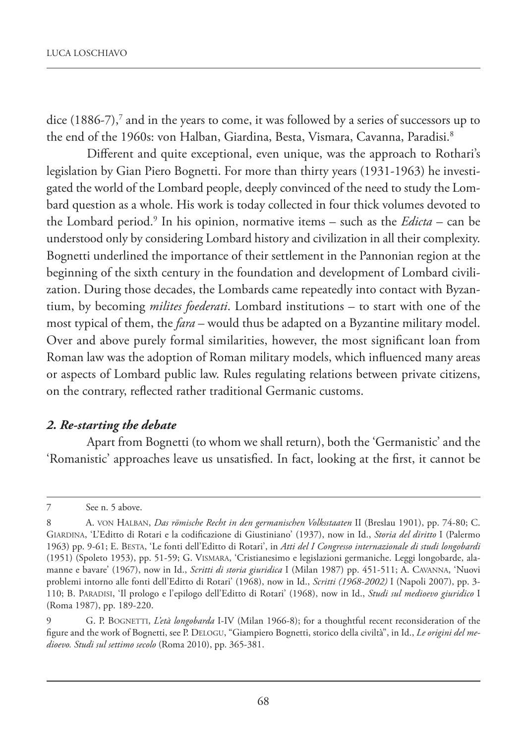dice  $(1886-7)$ , $^7$  and in the years to come, it was followed by a series of successors up to the end of the 1960s: von Halban, Giardina, Besta, Vismara, Cavanna, Paradisi.<sup>8</sup>

Different and quite exceptional, even unique, was the approach to Rothari's legislation by Gian Piero Bognetti. For more than thirty years (1931-1963) he investigated the world of the Lombard people, deeply convinced of the need to study the Lombard question as a whole. His work is today collected in four thick volumes devoted to the Lombard period.9 In his opinion, normative items – such as the *Edicta* – can be understood only by considering Lombard history and civilization in all their complexity. Bognetti underlined the importance of their settlement in the Pannonian region at the beginning of the sixth century in the foundation and development of Lombard civilization. During those decades, the Lombards came repeatedly into contact with Byzantium, by becoming *milites foederati*. Lombard institutions – to start with one of the most typical of them, the *fara* – would thus be adapted on a Byzantine military model. Over and above purely formal similarities, however, the most significant loan from Roman law was the adoption of Roman military models, which influenced many areas or aspects of Lombard public law. Rules regulating relations between private citizens, on the contrary, reflected rather traditional Germanic customs.

#### *2. Re-starting the debate*

Apart from Bognetti (to whom we shall return), both the 'Germanistic' and the 'Romanistic' approaches leave us unsatisfied. In fact, looking at the first, it cannot be

<sup>7</sup> See n. 5 above.

<sup>8</sup> A. VON HALBAN, *Das römische Recht in den germanischen Volksstaaten* II (Breslau 1901), pp. 74-80; C. GIARDINA, 'L'Editto di Rotari e la codificazione di Giustiniano' (1937), now in Id., *Storia del diritto* I (Palermo 1963) pp. 9-61; E. BESTA, 'Le fonti dell'Editto di Rotari', in *Atti del I Congresso internazionale di studi longobardi* (1951) (Spoleto 1953), pp. 51-59; G. VISMARA, 'Cristianesimo e legislazioni germaniche. Leggi longobarde, alamanne e bavare' (1967), now in Id., *Scritti di storia giuridica* I (Milan 1987) pp. 451-511; A. CAVANNA, 'Nuovi problemi intorno alle fonti dell'Editto di Rotari' (1968), now in Id., *Scritti (1968-2002)* I (Napoli 2007), pp. 3- 110; B. PARADISI, 'Il prologo e l'epilogo dell'Editto di Rotari' (1968), now in Id., *Studi sul medioevo giuridico* I (Roma 1987), pp. 189-220.

<sup>9</sup> G. P. BOGNETTI, *L'età longobarda* I-IV (Milan 1966-8); for a thoughtful recent reconsideration of the figure and the work of Bognetti, see P. DELOGU, "Giampiero Bognetti, storico della civiltà", in Id., *Le origini del medioevo. Studi sul settimo secolo* (Roma 2010), pp. 365-381.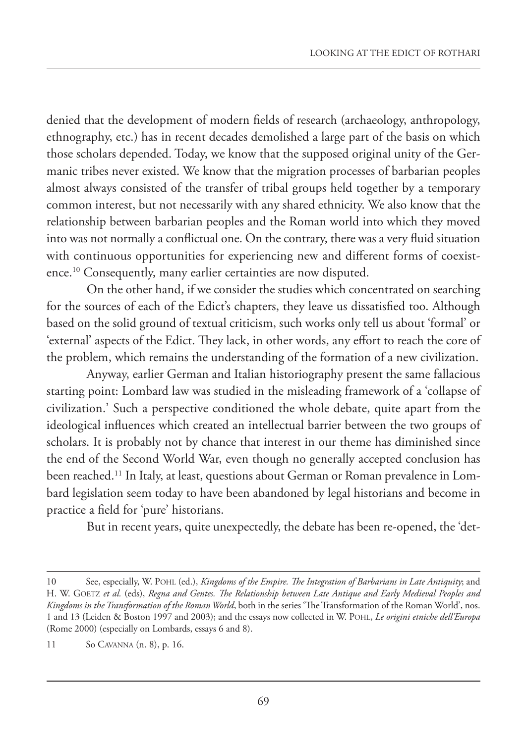denied that the development of modern fields of research (archaeology, anthropology, ethnography, etc.) has in recent decades demolished a large part of the basis on which those scholars depended. Today, we know that the supposed original unity of the Germanic tribes never existed. We know that the migration processes of barbarian peoples almost always consisted of the transfer of tribal groups held together by a temporary common interest, but not necessarily with any shared ethnicity. We also know that the relationship between barbarian peoples and the Roman world into which they moved into was not normally a conflictual one. On the contrary, there was a very fluid situation with continuous opportunities for experiencing new and different forms of coexistence.10 Consequently, many earlier certainties are now disputed.

On the other hand, if we consider the studies which concentrated on searching for the sources of each of the Edict's chapters, they leave us dissatisfied too. Although based on the solid ground of textual criticism, such works only tell us about 'formal' or 'external' aspects of the Edict. They lack, in other words, any effort to reach the core of the problem, which remains the understanding of the formation of a new civilization.

Anyway, earlier German and Italian historiography present the same fallacious starting point: Lombard law was studied in the misleading framework of a 'collapse of civilization.' Such a perspective conditioned the whole debate, quite apart from the ideological influences which created an intellectual barrier between the two groups of scholars. It is probably not by chance that interest in our theme has diminished since the end of the Second World War, even though no generally accepted conclusion has been reached.11 In Italy, at least, questions about German or Roman prevalence in Lombard legislation seem today to have been abandoned by legal historians and become in practice a field for 'pure' historians.

But in recent years, quite unexpectedly, the debate has been re-opened, the 'det-

<sup>10</sup> See, especially, W. POHL (ed.), *Kingdoms of the Empire. The Integration of Barbarians in Late Antiquity*; and H. W. GOETZ *et al.* (eds), *Regna and Gentes. The Relationship between Late Antique and Early Medieval Peoples and Kingdoms in the Transformation of the Roman World*, both in the series 'The Transformation of the Roman World', nos. 1 and 13 (Leiden & Boston 1997 and 2003); and the essays now collected in W. POHL, *Le origini etniche dell'Europa* (Rome 2000) (especially on Lombards, essays 6 and 8).

<sup>11</sup> So CAVANNA (n. 8), p. 16.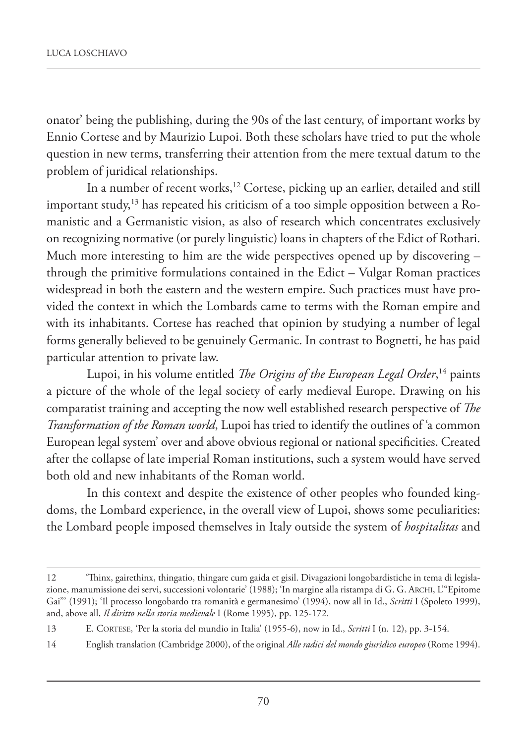onator' being the publishing, during the 90s of the last century, of important works by Ennio Cortese and by Maurizio Lupoi. Both these scholars have tried to put the whole question in new terms, transferring their attention from the mere textual datum to the problem of juridical relationships.

In a number of recent works,<sup>12</sup> Cortese, picking up an earlier, detailed and still important study, $13$  has repeated his criticism of a too simple opposition between a Romanistic and a Germanistic vision, as also of research which concentrates exclusively on recognizing normative (or purely linguistic) loans in chapters of the Edict of Rothari. Much more interesting to him are the wide perspectives opened up by discovering – through the primitive formulations contained in the Edict – Vulgar Roman practices widespread in both the eastern and the western empire. Such practices must have provided the context in which the Lombards came to terms with the Roman empire and with its inhabitants. Cortese has reached that opinion by studying a number of legal forms generally believed to be genuinely Germanic. In contrast to Bognetti, he has paid particular attention to private law.

Lupoi, in his volume entitled *The Origins of the European Legal Order*, 14 paints a picture of the whole of the legal society of early medieval Europe. Drawing on his comparatist training and accepting the now well established research perspective of *The Transformation of the Roman world*, Lupoi has tried to identify the outlines of 'a common European legal system' over and above obvious regional or national specificities. Created after the collapse of late imperial Roman institutions, such a system would have served both old and new inhabitants of the Roman world.

In this context and despite the existence of other peoples who founded kingdoms, the Lombard experience, in the overall view of Lupoi, shows some peculiarities: the Lombard people imposed themselves in Italy outside the system of *hospitalitas* and

<sup>12</sup> 'Thinx, gairethinx, thingatio, thingare cum gaida et gisil. Divagazioni longobardistiche in tema di legislazione, manumissione dei servi, successioni volontarie' (1988); 'In margine alla ristampa di G. G. ARCHI, L'"Epitome Gai"' (1991); 'Il processo longobardo tra romanità e germanesimo' (1994), now all in Id., *Scritti* I (Spoleto 1999), and, above all, *Il diritto nella storia medievale* I (Rome 1995), pp. 125-172.

<sup>13</sup> E. CORTESE, 'Per la storia del mundio in Italia' (1955-6), now in Id., *Scritti* I (n. 12), pp. 3-154.

<sup>14</sup> English translation (Cambridge 2000), of the original *Alle radici del mondo giuridico europeo* (Rome 1994).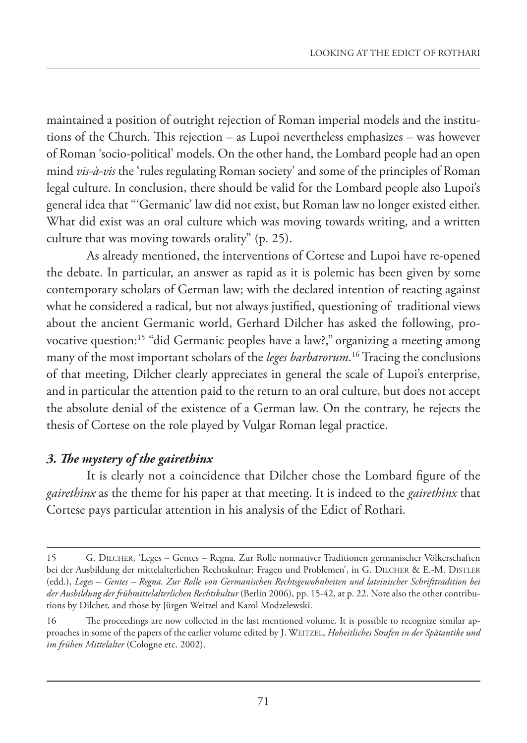maintained a position of outright rejection of Roman imperial models and the institutions of the Church. This rejection – as Lupoi nevertheless emphasizes – was however of Roman 'socio-political' models. On the other hand, the Lombard people had an open mind *vis-à-vis* the 'rules regulating Roman society' and some of the principles of Roman legal culture. In conclusion, there should be valid for the Lombard people also Lupoi's general idea that "'Germanic' law did not exist, but Roman law no longer existed either. What did exist was an oral culture which was moving towards writing, and a written culture that was moving towards orality" (p. 25).

As already mentioned, the interventions of Cortese and Lupoi have re-opened the debate. In particular, an answer as rapid as it is polemic has been given by some contemporary scholars of German law; with the declared intention of reacting against what he considered a radical, but not always justified, questioning of traditional views about the ancient Germanic world, Gerhard Dilcher has asked the following, provocative question:15 "did Germanic peoples have a law?," organizing a meeting among many of the most important scholars of the *leges barbarorum*. 16 Tracing the conclusions of that meeting, Dilcher clearly appreciates in general the scale of Lupoi's enterprise, and in particular the attention paid to the return to an oral culture, but does not accept the absolute denial of the existence of a German law. On the contrary, he rejects the thesis of Cortese on the role played by Vulgar Roman legal practice.

#### *3. The mystery of the gairethinx*

It is clearly not a coincidence that Dilcher chose the Lombard figure of the *gairethinx* as the theme for his paper at that meeting. It is indeed to the *gairethinx* that Cortese pays particular attention in his analysis of the Edict of Rothari.

<sup>15</sup> G. DILCHER, 'Leges – Gentes – Regna. Zur Rolle normativer Traditionen germanischer Völkerschaften bei der Ausbildung der mittelalterlichen Rechtskultur: Fragen und Problemen', in G. DILCHER & E.-M. DISTLER (edd.), *Leges – Gentes – Regna. Zur Rolle von Germanischen Rechtsgewohnheiten und lateinischer Schrifttradition bei der Ausbildung der frühmittelalterlichen Rechtskultur* (Berlin 2006), pp. 15-42, at p. 22. Note also the other contributions by Dilcher, and those by Jürgen Weitzel and Karol Modzelewski.

<sup>16</sup> The proceedings are now collected in the last mentioned volume. It is possible to recognize similar approaches in some of the papers of the earlier volume edited by J. WEITZEL, *Hoheitliches Strafen in der Spätantike und im frühen Mittelalter* (Cologne etc. 2002).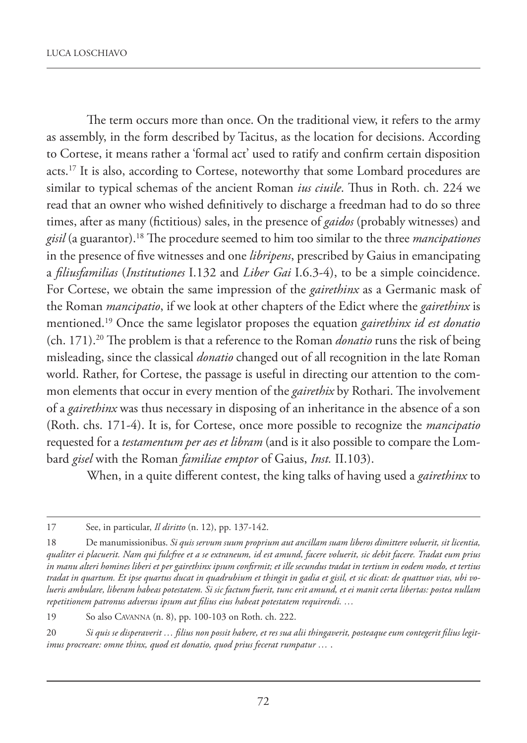The term occurs more than once. On the traditional view, it refers to the army as assembly, in the form described by Tacitus, as the location for decisions. According to Cortese, it means rather a 'formal act' used to ratify and confirm certain disposition acts.<sup>17</sup> It is also, according to Cortese, noteworthy that some Lombard procedures are similar to typical schemas of the ancient Roman *ius ciuile*. Thus in Roth. ch. 224 we read that an owner who wished definitively to discharge a freedman had to do so three times, after as many (fictitious) sales, in the presence of *gaidos* (probably witnesses) and *gisil* (a guarantor).18 The procedure seemed to him too similar to the three *mancipationes* in the presence of five witnesses and one *libripens*, prescribed by Gaius in emancipating a *filiusfamilias* (*Institutiones* I.132 and *Liber Gai* I.6.3-4), to be a simple coincidence. For Cortese, we obtain the same impression of the *gairethinx* as a Germanic mask of the Roman *mancipatio*, if we look at other chapters of the Edict where the *gairethinx* is mentioned.19 Once the same legislator proposes the equation *gairethinx id est donatio* (ch. 171).20 The problem is that a reference to the Roman *donatio* runs the risk of being misleading, since the classical *donatio* changed out of all recognition in the late Roman world. Rather, for Cortese, the passage is useful in directing our attention to the common elements that occur in every mention of the *gairethix* by Rothari. The involvement of a *gairethinx* was thus necessary in disposing of an inheritance in the absence of a son (Roth. chs. 171-4). It is, for Cortese, once more possible to recognize the *mancipatio* requested for a *testamentum per aes et libram* (and is it also possible to compare the Lombard *gisel* with the Roman *familiae emptor* of Gaius, *Inst.* II.103).

When, in a quite different contest, the king talks of having used a *gairethinx* to

<sup>17</sup> See, in particular, *Il diritto* (n. 12), pp. 137-142.

<sup>18</sup> De manumissionibus. *Si quis servum suum proprium aut ancillam suam liberos dimittere voluerit, sit licentia, qualiter ei placuerit. Nam qui fulcfree et a se extraneum, id est amund, facere voluerit, sic debit facere. Tradat eum prius in manu alteri homines liberi et per gairethinx ipsum confirmit; et ille secundus tradat in tertium in eodem modo, et tertius tradat in quartum. Et ipse quartus ducat in quadrubium et thingit in gadia et gisil, et sic dicat: de quattuor vias, ubi volueris ambulare, liberam habeas potestatem. Si sic factum fuerit, tunc erit amund, et ei manit certa libertas: postea nullam repetitionem patronus adversus ipsum aut filius eius habeat potestatem requirendi. …*

<sup>19</sup> So also CAVANNA (n. 8), pp. 100-103 on Roth. ch. 222.

<sup>20</sup> *Si quis se disperaverit … filius non possit habere, et res sua alii thingaverit, posteaque eum contegerit filius legitimus procreare: omne thinx, quod est donatio, quod prius fecerat rumpatur …* .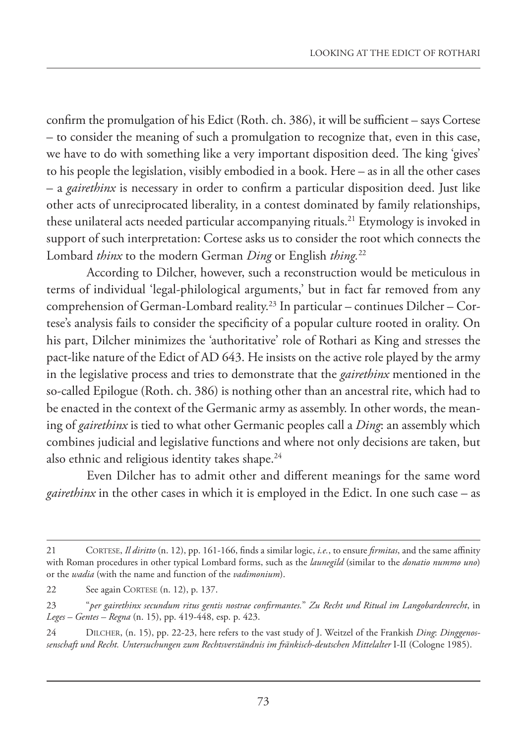confirm the promulgation of his Edict (Roth. ch. 386), it will be sufficient – says Cortese – to consider the meaning of such a promulgation to recognize that, even in this case, we have to do with something like a very important disposition deed. The king 'gives' to his people the legislation, visibly embodied in a book. Here – as in all the other cases – a *gairethinx* is necessary in order to confirm a particular disposition deed. Just like other acts of unreciprocated liberality, in a contest dominated by family relationships, these unilateral acts needed particular accompanying rituals.<sup>21</sup> Etymology is invoked in support of such interpretation: Cortese asks us to consider the root which connects the Lombard *thinx* to the modern German *Ding* or English *thing.*<sup>22</sup>

According to Dilcher, however, such a reconstruction would be meticulous in terms of individual 'legal-philological arguments,' but in fact far removed from any comprehension of German-Lombard reality.23 In particular – continues Dilcher – Cortese's analysis fails to consider the specificity of a popular culture rooted in orality. On his part, Dilcher minimizes the 'authoritative' role of Rothari as King and stresses the pact-like nature of the Edict of AD 643. He insists on the active role played by the army in the legislative process and tries to demonstrate that the *gairethinx* mentioned in the so-called Epilogue (Roth. ch. 386) is nothing other than an ancestral rite, which had to be enacted in the context of the Germanic army as assembly. In other words, the meaning of *gairethinx* is tied to what other Germanic peoples call a *Ding*: an assembly which combines judicial and legislative functions and where not only decisions are taken, but also ethnic and religious identity takes shape.<sup>24</sup>

Even Dilcher has to admit other and different meanings for the same word *gairethinx* in the other cases in which it is employed in the Edict. In one such case – as

<sup>21</sup> CORTESE, *Il diritto* (n. 12), pp. 161-166, finds a similar logic, *i.e.*, to ensure *firmitas*, and the same affinity with Roman procedures in other typical Lombard forms, such as the *launegild* (similar to the *donatio nummo uno*) or the *wadia* (with the name and function of the *vadimonium*).

<sup>22</sup> See again CORTESE (n. 12), p. 137.

<sup>23</sup> "*per gairethinx secundum ritus gentis nostrae confirmantes.*" *Zu Recht und Ritual im Langobardenrecht*, in *Leges – Gentes – Regna* (n. 15), pp. 419-448, esp. p. 423.

<sup>24</sup> DILCHER, (n. 15), pp. 22-23, here refers to the vast study of J. Weitzel of the Frankish *Ding*: *Dinggenossenschaft und Recht. Untersuchungen zum Rechtsverständnis im fränkisch-deutschen Mittelalter* I-II (Cologne 1985).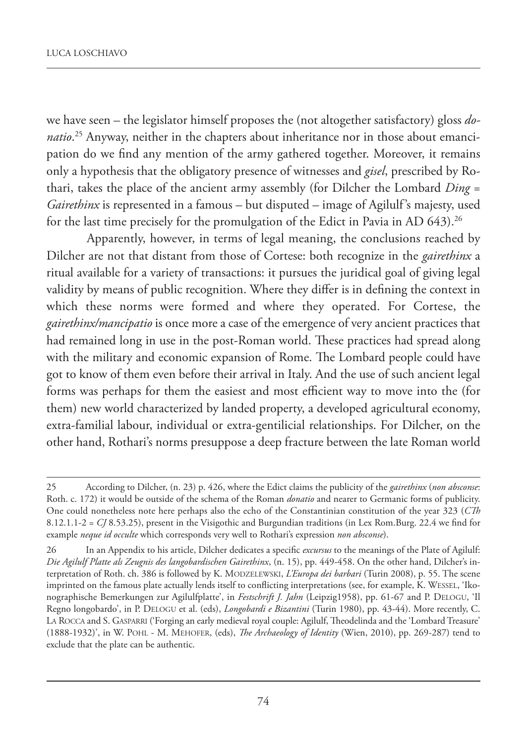we have seen – the legislator himself proposes the (not altogether satisfactory) gloss *donatio*. 25 Anyway, neither in the chapters about inheritance nor in those about emancipation do we find any mention of the army gathered together. Moreover, it remains only a hypothesis that the obligatory presence of witnesses and *gisel*, prescribed by Rothari, takes the place of the ancient army assembly (for Dilcher the Lombard *Ding* = *Gairethinx* is represented in a famous – but disputed – image of Agilulf's majesty, used for the last time precisely for the promulgation of the Edict in Pavia in AD 643).<sup>26</sup>

Apparently, however, in terms of legal meaning, the conclusions reached by Dilcher are not that distant from those of Cortese: both recognize in the *gairethinx* a ritual available for a variety of transactions: it pursues the juridical goal of giving legal validity by means of public recognition. Where they differ is in defining the context in which these norms were formed and where they operated. For Cortese, the *gairethinx/mancipatio* is once more a case of the emergence of very ancient practices that had remained long in use in the post-Roman world. These practices had spread along with the military and economic expansion of Rome. The Lombard people could have got to know of them even before their arrival in Italy. And the use of such ancient legal forms was perhaps for them the easiest and most efficient way to move into the (for them) new world characterized by landed property, a developed agricultural economy, extra-familial labour, individual or extra-gentilicial relationships. For Dilcher, on the other hand, Rothari's norms presuppose a deep fracture between the late Roman world

<sup>25</sup> According to Dilcher, (n. 23) p. 426, where the Edict claims the publicity of the *gairethinx* (*non absconse*: Roth. c. 172) it would be outside of the schema of the Roman *donatio* and nearer to Germanic forms of publicity. One could nonetheless note here perhaps also the echo of the Constantinian constitution of the year 323 (*CTh* 8.12.1.1-2 = *CJ* 8.53.25), present in the Visigothic and Burgundian traditions (in Lex Rom.Burg. 22.4 we find for example *neque id occulte* which corresponds very well to Rothari's expression *non absconse*).

<sup>26</sup> In an Appendix to his article, Dilcher dedicates a specific *excursus* to the meanings of the Plate of Agilulf: *Die Agilulf Platte als Zeugnis des langobardischen Gairethinx*, (n. 15), pp. 449-458. On the other hand, Dilcher's interpretation of Roth. ch. 386 is followed by K. MODZELEWSKI, *L'Europa dei barbari* (Turin 2008), p. 55. The scene imprinted on the famous plate actually lends itself to conflicting interpretations (see, for example, K. WESSEL, 'Ikonographische Bemerkungen zur Agilulfplatte', in *Festschrift J. Jahn* (Leipzig1958), pp. 61-67 and P. DELOGU, 'Il Regno longobardo', in P. DELOGU et al. (eds), *Longobardi e Bizantini* (Turin 1980), pp. 43-44). More recently, C. LA ROCCA and S. GASPARRI ('Forging an early medieval royal couple: Agilulf, Theodelinda and the 'Lombard Treasure' (1888-1932)', in W. POHL - M. MEHOFER, (eds), *The Archaeology of Identity* (Wien, 2010), pp. 269-287) tend to exclude that the plate can be authentic.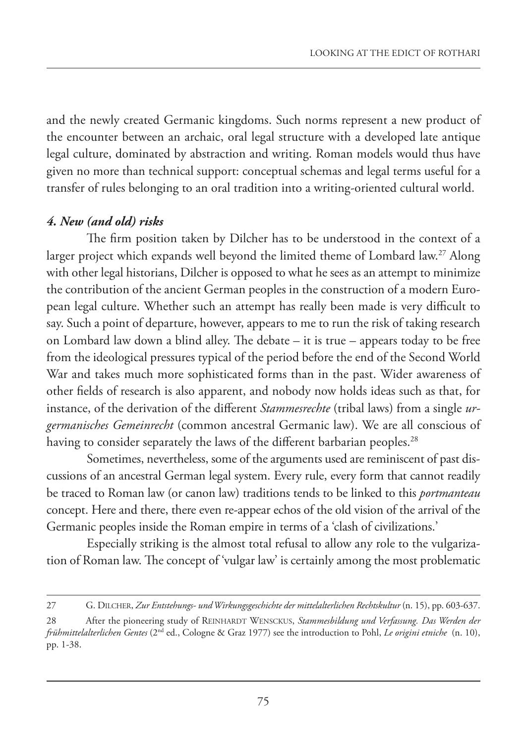and the newly created Germanic kingdoms. Such norms represent a new product of the encounter between an archaic, oral legal structure with a developed late antique legal culture, dominated by abstraction and writing. Roman models would thus have given no more than technical support: conceptual schemas and legal terms useful for a transfer of rules belonging to an oral tradition into a writing-oriented cultural world.

## *4. New (and old) risks*

The firm position taken by Dilcher has to be understood in the context of a larger project which expands well beyond the limited theme of Lombard law.27 Along with other legal historians, Dilcher is opposed to what he sees as an attempt to minimize the contribution of the ancient German peoples in the construction of a modern European legal culture. Whether such an attempt has really been made is very difficult to say. Such a point of departure, however, appears to me to run the risk of taking research on Lombard law down a blind alley. The debate – it is true – appears today to be free from the ideological pressures typical of the period before the end of the Second World War and takes much more sophisticated forms than in the past. Wider awareness of other fields of research is also apparent, and nobody now holds ideas such as that, for instance, of the derivation of the different *Stammesrechte* (tribal laws) from a single *urgermanisches Gemeinrecht* (common ancestral Germanic law). We are all conscious of having to consider separately the laws of the different barbarian peoples.<sup>28</sup>

Sometimes, nevertheless, some of the arguments used are reminiscent of past discussions of an ancestral German legal system. Every rule, every form that cannot readily be traced to Roman law (or canon law) traditions tends to be linked to this *portmanteau* concept. Here and there, there even re-appear echos of the old vision of the arrival of the Germanic peoples inside the Roman empire in terms of a 'clash of civilizations.'

Especially striking is the almost total refusal to allow any role to the vulgarization of Roman law. The concept of 'vulgar law' is certainly among the most problematic

<sup>27</sup> G. DILCHER, *Zur Entstehungs- und Wirkungsgeschichte der mittelalterlichen Rechtskultur* (n. 15), pp. 603-637.

<sup>28</sup> After the pioneering study of REINHARDT WENSCKUS, *Stammesbildung und Verfassung. Das Werden der frühmittelalterlichen Gentes* (2nd ed., Cologne & Graz 1977) see the introduction to Pohl, *Le origini etniche* (n. 10), pp. 1-38.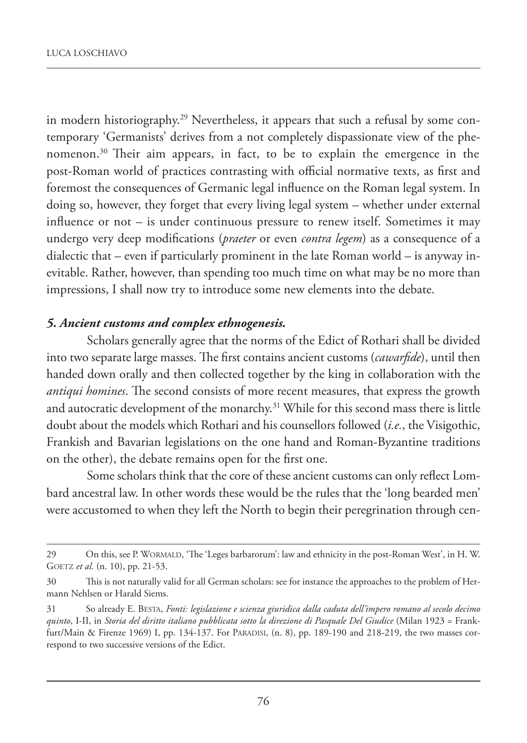in modern historiography.29 Nevertheless, it appears that such a refusal by some contemporary 'Germanists' derives from a not completely dispassionate view of the phenomenon.30 Their aim appears, in fact, to be to explain the emergence in the post-Roman world of practices contrasting with official normative texts, as first and foremost the consequences of Germanic legal influence on the Roman legal system. In doing so, however, they forget that every living legal system – whether under external influence or not – is under continuous pressure to renew itself. Sometimes it may undergo very deep modifications (*praeter* or even *contra legem*) as a consequence of a dialectic that – even if particularly prominent in the late Roman world – is anyway inevitable. Rather, however, than spending too much time on what may be no more than impressions, I shall now try to introduce some new elements into the debate.

#### *5. Ancient customs and complex ethnogenesis.*

Scholars generally agree that the norms of the Edict of Rothari shall be divided into two separate large masses. The first contains ancient customs (*cawarfide*), until then handed down orally and then collected together by the king in collaboration with the *antiqui homines*. The second consists of more recent measures, that express the growth and autocratic development of the monarchy.<sup>31</sup> While for this second mass there is little doubt about the models which Rothari and his counsellors followed (*i.e.*, the Visigothic, Frankish and Bavarian legislations on the one hand and Roman-Byzantine traditions on the other), the debate remains open for the first one.

Some scholars think that the core of these ancient customs can only reflect Lombard ancestral law. In other words these would be the rules that the 'long bearded men' were accustomed to when they left the North to begin their peregrination through cen-

<sup>29</sup> On this, see P. WORMALD, 'The 'Leges barbarorum': law and ethnicity in the post-Roman West', in H. W. GOETZ *et al.* (n. 10), pp. 21-53.

<sup>30</sup> This is not naturally valid for all German scholars: see for instance the approaches to the problem of Hermann Nehlsen or Harald Siems.

<sup>31</sup> So already E. BESTA, *Fonti: legislazione e scienza giuridica dalla caduta dell'impero romano al secolo decimo quinto*, I-II, in *Storia del diritto italiano pubblicata sotto la direzione di Pasquale Del Giudice* (Milan 1923 = Frankfurt/Main & Firenze 1969) I, pp. 134-137. For PARADISI, (n. 8), pp. 189-190 and 218-219, the two masses correspond to two successive versions of the Edict.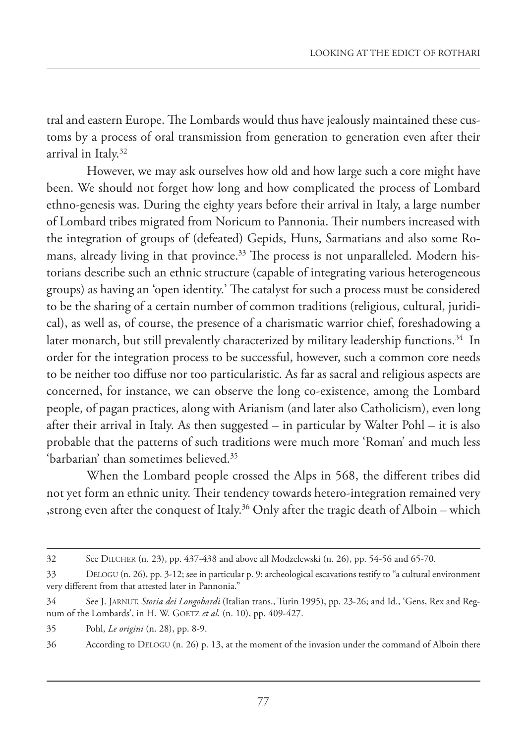tral and eastern Europe. The Lombards would thus have jealously maintained these customs by a process of oral transmission from generation to generation even after their arrival in Italy.32

However, we may ask ourselves how old and how large such a core might have been. We should not forget how long and how complicated the process of Lombard ethno-genesis was. During the eighty years before their arrival in Italy, a large number of Lombard tribes migrated from Noricum to Pannonia. Their numbers increased with the integration of groups of (defeated) Gepids, Huns, Sarmatians and also some Romans, already living in that province.<sup>33</sup> The process is not unparalleled. Modern historians describe such an ethnic structure (capable of integrating various heterogeneous groups) as having an 'open identity.' The catalyst for such a process must be considered to be the sharing of a certain number of common traditions (religious, cultural, juridical), as well as, of course, the presence of a charismatic warrior chief, foreshadowing a later monarch, but still prevalently characterized by military leadership functions.<sup>34</sup> In order for the integration process to be successful, however, such a common core needs to be neither too diffuse nor too particularistic. As far as sacral and religious aspects are concerned, for instance, we can observe the long co-existence, among the Lombard people, of pagan practices, along with Arianism (and later also Catholicism), even long after their arrival in Italy. As then suggested – in particular by Walter Pohl – it is also probable that the patterns of such traditions were much more 'Roman' and much less 'barbarian' than sometimes believed.35

When the Lombard people crossed the Alps in 568, the different tribes did not yet form an ethnic unity. Their tendency towards hetero-integration remained very ,strong even after the conquest of Italy.36 Only after the tragic death of Alboin – which

<sup>32</sup> See DILCHER (n. 23), pp. 437-438 and above all Modzelewski (n. 26), pp. 54-56 and 65-70.

<sup>33</sup> DELOGU (n. 26), pp. 3-12; see in particular p. 9: archeological escavations testify to "a cultural environment very different from that attested later in Pannonia."

<sup>34</sup> See J. JARNUT, *Storia dei Longobardi* (Italian trans., Turin 1995), pp. 23-26; and Id., 'Gens, Rex and Regnum of the Lombards', in H. W. GOETZ *et al*. (n. 10), pp. 409-427.

<sup>35</sup> Pohl, *Le origini* (n. 28), pp. 8-9.

<sup>36</sup> According to DELOGU (n. 26) p. 13, at the moment of the invasion under the command of Alboin there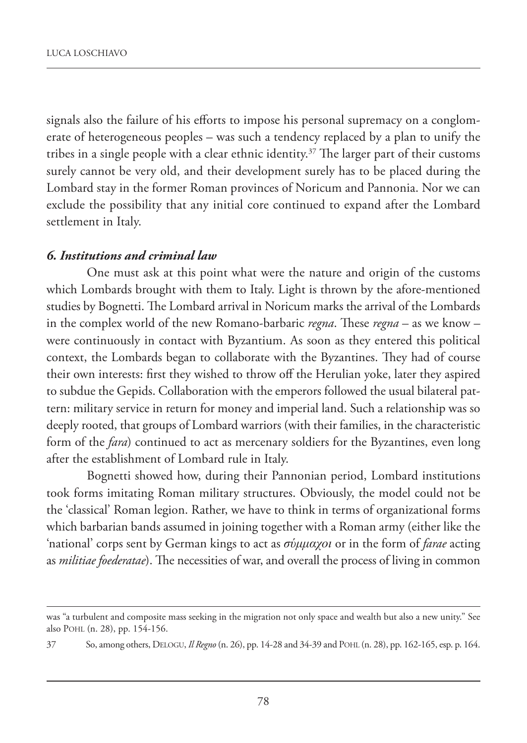signals also the failure of his efforts to impose his personal supremacy on a conglomerate of heterogeneous peoples – was such a tendency replaced by a plan to unify the tribes in a single people with a clear ethnic identity.<sup>37</sup> The larger part of their customs surely cannot be very old, and their development surely has to be placed during the Lombard stay in the former Roman provinces of Noricum and Pannonia. Nor we can exclude the possibility that any initial core continued to expand after the Lombard settlement in Italy.

#### *6. Institutions and criminal law*

One must ask at this point what were the nature and origin of the customs which Lombards brought with them to Italy. Light is thrown by the afore-mentioned studies by Bognetti. The Lombard arrival in Noricum marks the arrival of the Lombards in the complex world of the new Romano-barbaric *regna*. These *regna* – as we know – were continuously in contact with Byzantium. As soon as they entered this political context, the Lombards began to collaborate with the Byzantines. They had of course their own interests: first they wished to throw off the Herulian yoke, later they aspired to subdue the Gepids. Collaboration with the emperors followed the usual bilateral pattern: military service in return for money and imperial land. Such a relationship was so deeply rooted, that groups of Lombard warriors (with their families, in the characteristic form of the *fara*) continued to act as mercenary soldiers for the Byzantines, even long after the establishment of Lombard rule in Italy.

Bognetti showed how, during their Pannonian period, Lombard institutions took forms imitating Roman military structures. Obviously, the model could not be the 'classical' Roman legion. Rather, we have to think in terms of organizational forms which barbarian bands assumed in joining together with a Roman army (either like the 'national' corps sent by German kings to act as *σύμμαχοι* or in the form of *farae* acting as *militiae foederatae*). The necessities of war, and overall the process of living in common

was "a turbulent and composite mass seeking in the migration not only space and wealth but also a new unity." See also POHL (n. 28), pp. 154-156.

<sup>37</sup> So, among others, DELOGU, *Il Regno* (n. 26), pp. 14-28 and 34-39 and POHL (n. 28), pp. 162-165, esp. p. 164.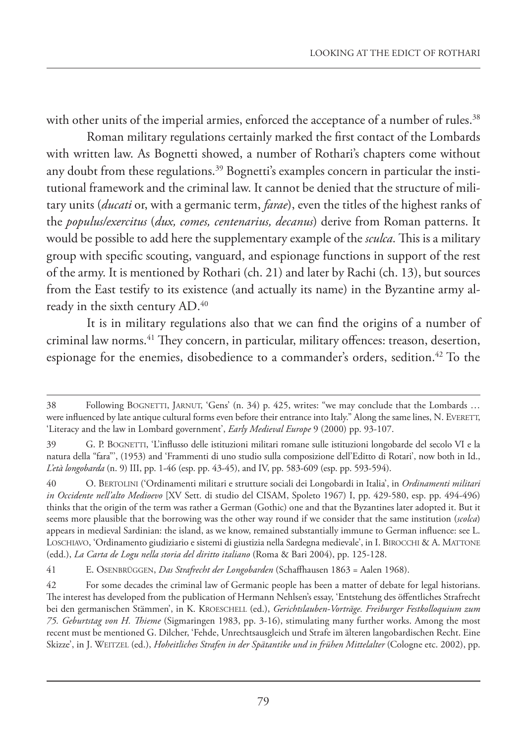with other units of the imperial armies, enforced the acceptance of a number of rules.<sup>38</sup>

Roman military regulations certainly marked the first contact of the Lombards with written law. As Bognetti showed, a number of Rothari's chapters come without any doubt from these regulations.<sup>39</sup> Bognetti's examples concern in particular the institutional framework and the criminal law. It cannot be denied that the structure of military units (*ducati* or, with a germanic term, *farae*), even the titles of the highest ranks of the *populus/exercitus* (*dux, comes, centenarius, decanus*) derive from Roman patterns. It would be possible to add here the supplementary example of the *sculca*. This is a military group with specific scouting, vanguard, and espionage functions in support of the rest of the army. It is mentioned by Rothari (ch. 21) and later by Rachi (ch. 13), but sources from the East testify to its existence (and actually its name) in the Byzantine army already in the sixth century AD.40

It is in military regulations also that we can find the origins of a number of criminal law norms.<sup>41</sup> They concern, in particular, military offences: treason, desertion, espionage for the enemies, disobedience to a commander's orders, sedition.<sup>42</sup> To the

<sup>38</sup> Following BOGNETTI, JARNUT, 'Gens' (n. 34) p. 425, writes: "we may conclude that the Lombards … were influenced by late antique cultural forms even before their entrance into Italy." Along the same lines, N. EVERETT, 'Literacy and the law in Lombard government', *Early Medieval Europe* 9 (2000) pp. 93-107.

<sup>39</sup> G. P. BOGNETTI, 'L'influsso delle istituzioni militari romane sulle istituzioni longobarde del secolo VI e la natura della "fara"', (1953) and 'Frammenti di uno studio sulla composizione dell'Editto di Rotari', now both in Id., *L'età longobarda* (n. 9) III, pp. 1-46 (esp. pp. 43-45), and IV, pp. 583-609 (esp. pp. 593-594).

<sup>40</sup> O. BERTOLINI ('Ordinamenti militari e strutture sociali dei Longobardi in Italia', in *Ordinamenti militari in Occidente nell'alto Medioevo* [XV Sett. di studio del CISAM, Spoleto 1967) I, pp. 429-580, esp. pp. 494-496) thinks that the origin of the term was rather a German (Gothic) one and that the Byzantines later adopted it. But it seems more plausible that the borrowing was the other way round if we consider that the same institution (*scolca*) appears in medieval Sardinian: the island, as we know, remained substantially immune to German influence: see L. LOSCHIAVO, 'Ordinamento giudiziario e sistemi di giustizia nella Sardegna medievale', in I. BIROCCHI & A. MATTONE (edd.), *La Carta de Logu nella storia del diritto italiano* (Roma & Bari 2004), pp. 125-128.

<sup>41</sup> E. OSENBRÜGGEN, *Das Strafrecht der Longobarden* (Schaffhausen 1863 = Aalen 1968).

<sup>42</sup> For some decades the criminal law of Germanic people has been a matter of debate for legal historians. The interest has developed from the publication of Hermann Nehlsen's essay, 'Entstehung des öffentliches Strafrecht bei den germanischen Stämmen', in K. KROESCHELL (ed.), *Gerichtslauben-Vorträge. Freiburger Festkolloquium zum 75. Geburtstag von H. Thieme* (Sigmaringen 1983, pp. 3-16), stimulating many further works. Among the most recent must be mentioned G. Dilcher, 'Fehde, Unrechtsausgleich und Strafe im älteren langobardischen Recht. Eine Skizze', in J. WEITZEL (ed.), *Hoheitliches Strafen in der Spätantike und in frühen Mittelalter* (Cologne etc. 2002), pp.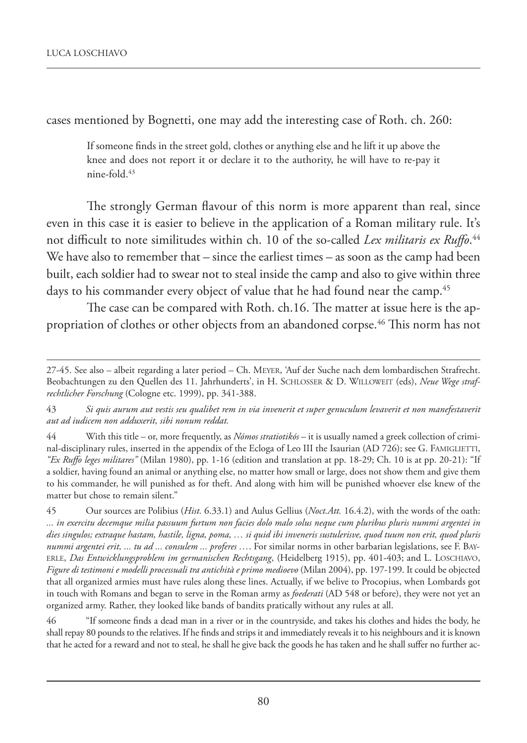cases mentioned by Bognetti, one may add the interesting case of Roth. ch. 260:

If someone finds in the street gold, clothes or anything else and he lift it up above the knee and does not report it or declare it to the authority, he will have to re-pay it  $nine-fold<sup>43</sup>$ 

The strongly German flavour of this norm is more apparent than real, since even in this case it is easier to believe in the application of a Roman military rule. It's not difficult to note similitudes within ch. 10 of the so-called *Lex militaris ex Ruffo*. 44 We have also to remember that – since the earliest times – as soon as the camp had been built, each soldier had to swear not to steal inside the camp and also to give within three days to his commander every object of value that he had found near the camp.<sup>45</sup>

The case can be compared with Roth. ch.16. The matter at issue here is the appropriation of clothes or other objects from an abandoned corpse.46 This norm has not

44 With this title – or, more frequently, as *Nómos stratiotikós* – it is usually named a greek collection of criminal-disciplinary rules, inserted in the appendix of the Ecloga of Leo III the Isaurian (AD 726); see G. FAMIGLIETTI, *"Ex Ruffo leges militares"* (Milan 1980), pp. 1-16 (edition and translation at pp. 18-29; Ch. 10 is at pp. 20-21): "If a soldier, having found an animal or anything else, no matter how small or large, does not show them and give them to his commander, he will punished as for theft. And along with him will be punished whoever else knew of the matter but chose to remain silent."

45 Our sources are Polibius (*Hist.* 6.33.1) and Aulus Gellius (*Noct.Att.* 16.4.2), with the words of the oath: *... in exercitu decemque milia passuum furtum non facies dolo malo solus neque cum pluribus pluris nummi argentei in dies singulos; extraque hastam, hastile, ligna, poma, … si quid ibi inveneris sustulerisve, quod tuum non erit, quod pluris nummi argentei erit, ... tu ad ... consulem ... proferes …*. For similar norms in other barbarian legislations, see F. BAY-ERLE, *Das Entwicklungsproblem im germanischen Rechtsgang*, (Heidelberg 1915), pp. 401-403; and L. LOSCHIAVO, *Figure di testimoni e modelli processuali tra antichità e primo medioevo* (Milan 2004), pp. 197-199. It could be objected that all organized armies must have rules along these lines. Actually, if we belive to Procopius, when Lombards got in touch with Romans and began to serve in the Roman army as *foederati* (AD 548 or before), they were not yet an organized army. Rather, they looked like bands of bandits pratically without any rules at all.

46 "If someone finds a dead man in a river or in the countryside, and takes his clothes and hides the body, he shall repay 80 pounds to the relatives. If he finds and strips it and immediately reveals it to his neighbours and it is known that he acted for a reward and not to steal, he shall he give back the goods he has taken and he shall suffer no further ac-

<sup>27-45.</sup> See also – albeit regarding a later period – Ch. MEYER, 'Auf der Suche nach dem lombardischen Strafrecht. Beobachtungen zu den Quellen des 11. Jahrhunderts', in H. SCHLOSSER & D. WILLOWEIT (eds), *Neue Wege strafrechtlicher Forschung* (Cologne etc. 1999), pp. 341-388.

<sup>43</sup> *Si quis aurum aut vestis seu qualibet rem in via invenerit et super genuculum levaverit et non manefestaverit aut ad iudicem non adduxerit, sibi nonum reddat.*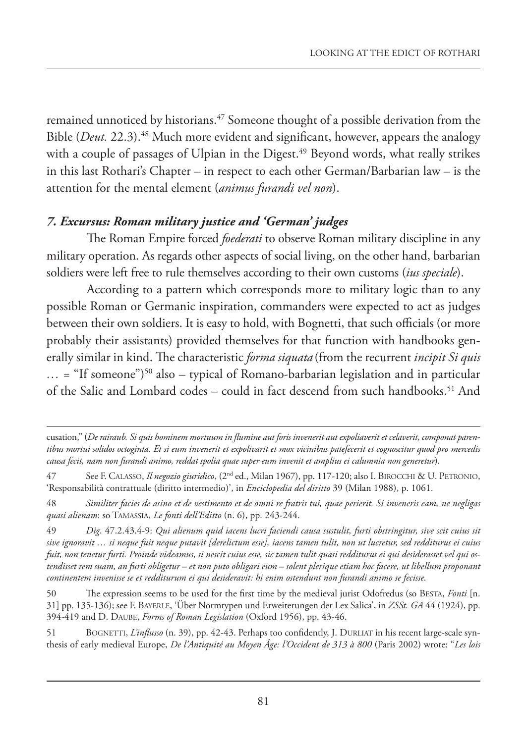remained unnoticed by historians.<sup>47</sup> Someone thought of a possible derivation from the Bible (*Deut.* 22.3).<sup>48</sup> Much more evident and significant, however, appears the analogy with a couple of passages of Ulpian in the Digest.<sup>49</sup> Beyond words, what really strikes in this last Rothari's Chapter – in respect to each other German/Barbarian law – is the attention for the mental element (*animus furandi vel non*).

### *7. Excursus: Roman military justice and 'German' judges*

The Roman Empire forced *foederati* to observe Roman military discipline in any military operation. As regards other aspects of social living, on the other hand, barbarian soldiers were left free to rule themselves according to their own customs (*ius speciale*).

According to a pattern which corresponds more to military logic than to any possible Roman or Germanic inspiration, commanders were expected to act as judges between their own soldiers. It is easy to hold, with Bognetti, that such officials (or more probably their assistants) provided themselves for that function with handbooks generally similar in kind. The characteristic *forma siquata* (from the recurrent *incipit Si quis*  $\ldots$  = "If someone")<sup>50</sup> also – typical of Romano-barbarian legislation and in particular of the Salic and Lombard codes – could in fact descend from such handbooks.51 And

cusation," (*De rairaub. Si quis hominem mortuum in flumine aut foris invenerit aut expoliaverit et celaverit, componat parentibus mortui solidos octoginta. Et si eum invenerit et expolivarit et mox vicinibus patefecerit et cognoscitur quod pro mercedis causa fecit, nam non furandi animo, reddat spolia quae super eum invenit et amplius ei calumnia non generetur*).

<sup>47</sup> See F. CALASSO, *Il negozio giuridico*, (2nd ed., Milan 1967), pp. 117-120; also I. BIROCCHI & U. PETRONIO, 'Responsabilità contrattuale (diritto intermedio)', in *Enciclopedia del diritto* 39 (Milan 1988), p. 1061.

<sup>48</sup> *Similiter facies de asino et de vestimento et de omni re fratris tui, quae perierit. Si inveneris eam, ne negligas quasi alienam*: so TAMASSIA, *Le fonti dell'Editto* (n. 6), pp. 243-244.

<sup>49</sup> *Dig*. 47.2.43.4-9: *Qui alienum quid iacens lucri faciendi causa sustulit, furti obstringitur, sive scit cuius sit sive ignoravit … si neque fuit neque putavit [derelictum esse], iacens tamen tulit, non ut lucretur, sed redditurus ei cuius fuit, non tenetur furti. Proinde videamus, si nescit cuius esse, sic tamen tulit quasi redditurus ei qui desiderasset vel qui ostendisset rem suam, an furti obligetur – et non puto obligari eum – solent plerique etiam hoc facere, ut libellum proponant continentem invenisse se et redditurum ei qui desideravit: hi enim ostendunt non furandi animo se fecisse.*

<sup>50</sup> The expression seems to be used for the first time by the medieval jurist Odofredus (so BESTA, *Fonti* [n. 31] pp. 135-136); see F. BAYERLE, 'Über Normtypen und Erweiterungen der Lex Salica', in *ZSSt. GA* 44 (1924), pp. 394-419 and D. DAUBE, *Forms of Roman Legislation* (Oxford 1956), pp. 43-46.

<sup>51</sup> BOGNETTI, *L'influsso* (n. 39), pp. 42-43. Perhaps too confidently, J. DURLIAT in his recent large-scale synthesis of early medieval Europe, *De l'Antiquité au Moyen Âge: l'Occident de 313 à 800* (Paris 2002) wrote: "*Les lois*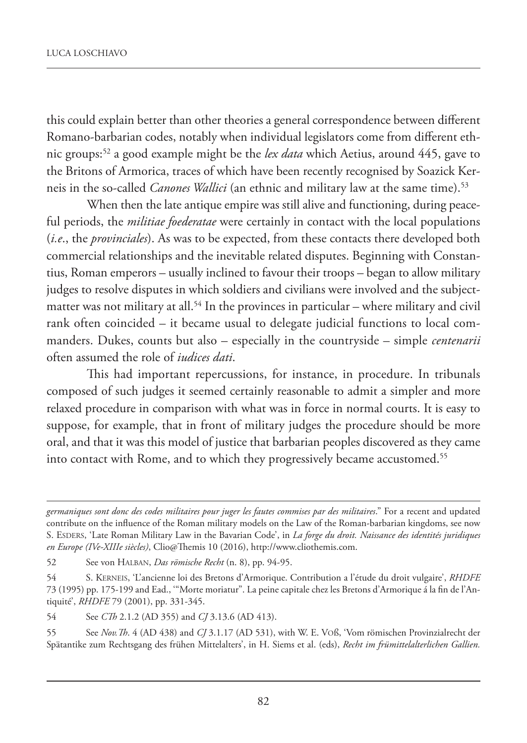this could explain better than other theories a general correspondence between different Romano-barbarian codes, notably when individual legislators come from different ethnic groups:52 a good example might be the *lex data* which Aetius, around 445, gave to the Britons of Armorica, traces of which have been recently recognised by Soazick Kerneis in the so-called *Canones Wallici* (an ethnic and military law at the same time).<sup>53</sup>

When then the late antique empire was still alive and functioning, during peaceful periods, the *militiae foederatae* were certainly in contact with the local populations (*i.e*., the *provinciales*). As was to be expected, from these contacts there developed both commercial relationships and the inevitable related disputes. Beginning with Constantius, Roman emperors – usually inclined to favour their troops – began to allow military judges to resolve disputes in which soldiers and civilians were involved and the subjectmatter was not military at all.<sup>54</sup> In the provinces in particular – where military and civil rank often coincided – it became usual to delegate judicial functions to local commanders. Dukes, counts but also – especially in the countryside – simple *centenarii* often assumed the role of *iudices dati*.

This had important repercussions, for instance, in procedure. In tribunals composed of such judges it seemed certainly reasonable to admit a simpler and more relaxed procedure in comparison with what was in force in normal courts. It is easy to suppose, for example, that in front of military judges the procedure should be more oral, and that it was this model of justice that barbarian peoples discovered as they came into contact with Rome, and to which they progressively became accustomed.<sup>55</sup>

*germaniques sont donc des codes militaires pour juger les fautes commises par des militaires*." For a recent and updated contribute on the influence of the Roman military models on the Law of the Roman-barbarian kingdoms, see now S. ESDERS, 'Late Roman Military Law in the Bavarian Code', in *La forge du droit. Naissance des identités juridiques en Europe (IVe-XIIIe siècles)*, Clio@Themis 10 (2016), http://www.cliothemis.com.

<sup>52</sup> See von HALBAN, *Das römische Recht* (n. 8), pp. 94-95.

<sup>54</sup> S. KERNEIS, 'L'ancienne loi des Bretons d'Armorique. Contribution a l'étude du droit vulgaire', *RHDFE* 73 (1995) pp. 175-199 and Ead., '"Morte moriatur". La peine capitale chez les Bretons d'Armorique á la fin de l'Antiquité', *RHDFE* 79 (2001), pp. 331-345.

<sup>54</sup> See *CTh* 2.1.2 (AD 355) and *CJ* 3.13.6 (AD 413).

<sup>55</sup> See *Nov.Th*. 4 (AD 438) and *CJ* 3.1.17 (AD 531), with W. E. VOß, 'Vom römischen Provinzialrecht der Spätantike zum Rechtsgang des frühen Mittelalters', in H. Siems et al. (eds), *Recht im frümittelalterlichen Gallien.*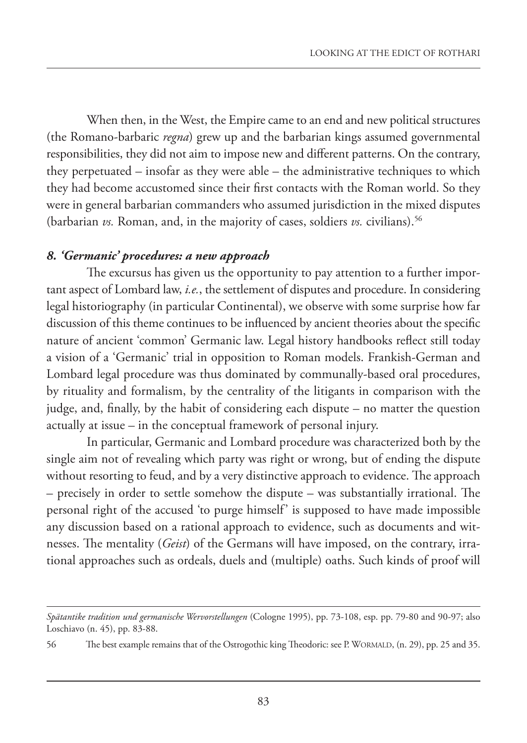When then, in the West, the Empire came to an end and new political structures (the Romano-barbaric *regna*) grew up and the barbarian kings assumed governmental responsibilities, they did not aim to impose new and different patterns. On the contrary, they perpetuated – insofar as they were able – the administrative techniques to which they had become accustomed since their first contacts with the Roman world. So they were in general barbarian commanders who assumed jurisdiction in the mixed disputes (barbarian *vs.* Roman, and, in the majority of cases, soldiers *vs.* civilians).56

#### *8. 'Germanic' procedures: a new approach*

The excursus has given us the opportunity to pay attention to a further important aspect of Lombard law, *i.e.*, the settlement of disputes and procedure. In considering legal historiography (in particular Continental), we observe with some surprise how far discussion of this theme continues to be influenced by ancient theories about the specific nature of ancient 'common' Germanic law. Legal history handbooks reflect still today a vision of a 'Germanic' trial in opposition to Roman models. Frankish-German and Lombard legal procedure was thus dominated by communally-based oral procedures, by rituality and formalism, by the centrality of the litigants in comparison with the judge, and, finally, by the habit of considering each dispute – no matter the question actually at issue – in the conceptual framework of personal injury.

In particular, Germanic and Lombard procedure was characterized both by the single aim not of revealing which party was right or wrong, but of ending the dispute without resorting to feud, and by a very distinctive approach to evidence. The approach – precisely in order to settle somehow the dispute – was substantially irrational. The personal right of the accused 'to purge himself' is supposed to have made impossible any discussion based on a rational approach to evidence, such as documents and witnesses. The mentality (*Geist*) of the Germans will have imposed, on the contrary, irrational approaches such as ordeals, duels and (multiple) oaths. Such kinds of proof will

*Spätantike tradition und germanische Wervorstellungen* (Cologne 1995), pp. 73-108, esp. pp. 79-80 and 90-97; also Loschiavo (n. 45), pp. 83-88.

<sup>56</sup> The best example remains that of the Ostrogothic king Theodoric: see P. WORMALD, (n. 29), pp. 25 and 35.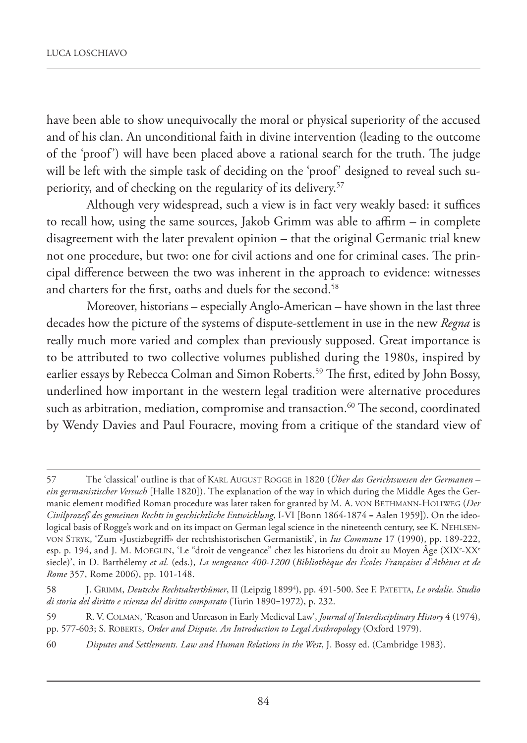have been able to show unequivocally the moral or physical superiority of the accused and of his clan. An unconditional faith in divine intervention (leading to the outcome of the 'proof') will have been placed above a rational search for the truth. The judge will be left with the simple task of deciding on the 'proof' designed to reveal such superiority, and of checking on the regularity of its delivery.57

Although very widespread, such a view is in fact very weakly based: it suffices to recall how, using the same sources, Jakob Grimm was able to affirm – in complete disagreement with the later prevalent opinion – that the original Germanic trial knew not one procedure, but two: one for civil actions and one for criminal cases. The principal difference between the two was inherent in the approach to evidence: witnesses and charters for the first, oaths and duels for the second.<sup>58</sup>

Moreover, historians – especially Anglo-American – have shown in the last three decades how the picture of the systems of dispute-settlement in use in the new *Regna* is really much more varied and complex than previously supposed. Great importance is to be attributed to two collective volumes published during the 1980s, inspired by earlier essays by Rebecca Colman and Simon Roberts.<sup>59</sup> The first, edited by John Bossy, underlined how important in the western legal tradition were alternative procedures such as arbitration, mediation, compromise and transaction.<sup>60</sup> The second, coordinated by Wendy Davies and Paul Fouracre, moving from a critique of the standard view of

60 *Disputes and Settlements. Law and Human Relations in the West*, J. Bossy ed. (Cambridge 1983).

<sup>57</sup> The 'classical' outline is that of KARL AUGUST ROGGE in 1820 (*Über das Gerichtswesen der Germanen – ein germanistischer Versuch* [Halle 1820]). The explanation of the way in which during the Middle Ages the Germanic element modified Roman procedure was later taken for granted by M. A. VON BETHMANN-HOLLWEG (*Der Civilprozeß des gemeinen Rechts in geschichtliche Entwicklung*, I-VI [Bonn 1864-1874 = Aalen 1959]). On the ideological basis of Rogge's work and on its impact on German legal science in the nineteenth century, see K. NEHLSEN-VON STRYK, 'Zum «Justizbegriff» der rechtshistorischen Germanistik', in *Ius Commune* 17 (1990), pp. 189-222, esp. p. 194, and J. M. MOEGLIN, 'Le "droit de vengeance" chez les historiens du droit au Moyen Âge (XIX°-XX° siecle)', in D. Barthélemy *et al.* (eds.), *La vengeance 400-1200* (*Bibliothèque des Écoles Françaises d'Athènes et de Rome* 357, Rome 2006), pp. 101-148.

<sup>58</sup> J. GRIMM, *Deutsche Rechtsalterthümer*, II (Leipzig 18994 ), pp. 491-500. See F. PATETTA, *Le ordalie. Studio di storia del diritto e scienza del diritto comparato* (Turin 1890=1972), p. 232.

<sup>59</sup> R. V. COLMAN, 'Reason and Unreason in Early Medieval Law', *Journal of Interdisciplinary History* 4 (1974), pp. 577-603; S. ROBERTS, *Order and Dispute. An Introduction to Legal Anthropology* (Oxford 1979).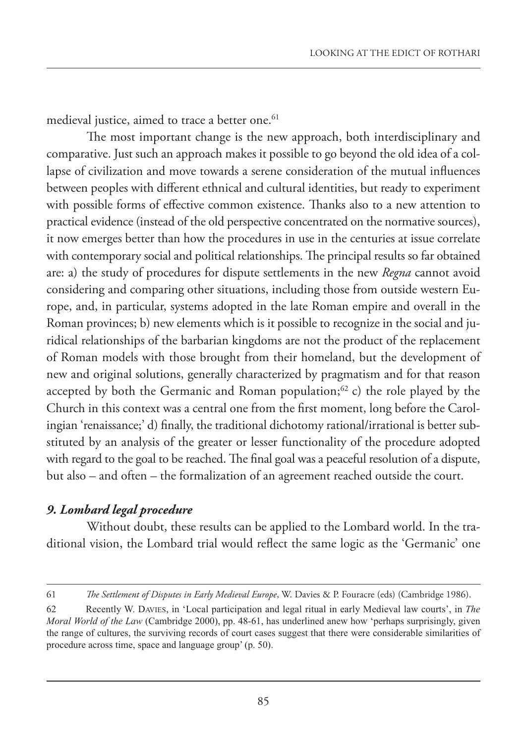medieval justice, aimed to trace a better one.<sup>61</sup>

The most important change is the new approach, both interdisciplinary and comparative. Just such an approach makes it possible to go beyond the old idea of a collapse of civilization and move towards a serene consideration of the mutual influences between peoples with different ethnical and cultural identities, but ready to experiment with possible forms of effective common existence. Thanks also to a new attention to practical evidence (instead of the old perspective concentrated on the normative sources), it now emerges better than how the procedures in use in the centuries at issue correlate with contemporary social and political relationships. The principal results so far obtained are: a) the study of procedures for dispute settlements in the new *Regna* cannot avoid considering and comparing other situations, including those from outside western Europe, and, in particular, systems adopted in the late Roman empire and overall in the Roman provinces; b) new elements which is it possible to recognize in the social and juridical relationships of the barbarian kingdoms are not the product of the replacement of Roman models with those brought from their homeland, but the development of new and original solutions, generally characterized by pragmatism and for that reason accepted by both the Germanic and Roman population; $62$  c) the role played by the Church in this context was a central one from the first moment, long before the Carolingian 'renaissance;' d) finally, the traditional dichotomy rational/irrational is better substituted by an analysis of the greater or lesser functionality of the procedure adopted with regard to the goal to be reached. The final goal was a peaceful resolution of a dispute, but also – and often – the formalization of an agreement reached outside the court.

## *9. Lombard legal procedure*

Without doubt, these results can be applied to the Lombard world. In the traditional vision, the Lombard trial would reflect the same logic as the 'Germanic' one

<sup>61</sup> *The Settlement of Disputes in Early Medieval Europe*, W. Davies & P. Fouracre (eds) (Cambridge 1986).

<sup>62</sup> Recently W. DAVIES, in 'Local participation and legal ritual in early Medieval law courts', in *The Moral World of the Law* (Cambridge 2000), pp. 48-61, has underlined anew how 'perhaps surprisingly, given the range of cultures, the surviving records of court cases suggest that there were considerable similarities of procedure across time, space and language group' (p. 50).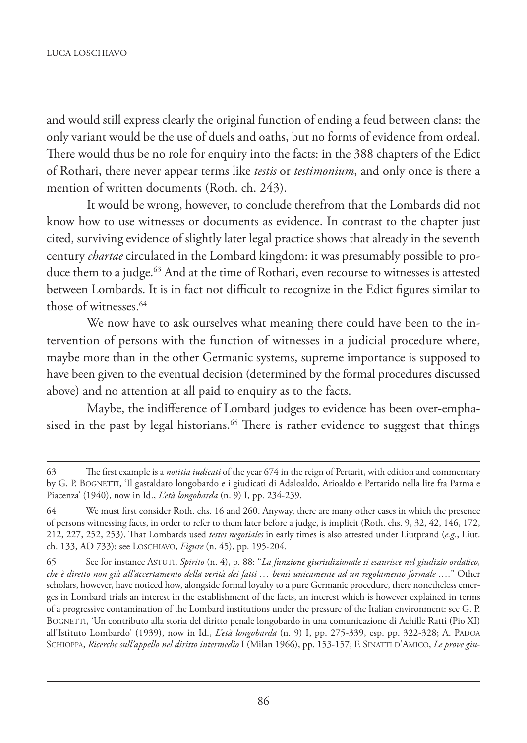and would still express clearly the original function of ending a feud between clans: the only variant would be the use of duels and oaths, but no forms of evidence from ordeal. There would thus be no role for enquiry into the facts: in the 388 chapters of the Edict of Rothari, there never appear terms like *testis* or *testimonium*, and only once is there a mention of written documents (Roth. ch. 243).

It would be wrong, however, to conclude therefrom that the Lombards did not know how to use witnesses or documents as evidence. In contrast to the chapter just cited, surviving evidence of slightly later legal practice shows that already in the seventh century *chartae* circulated in the Lombard kingdom: it was presumably possible to produce them to a judge.<sup>63</sup> And at the time of Rothari, even recourse to witnesses is attested between Lombards. It is in fact not difficult to recognize in the Edict figures similar to those of witnesses.<sup>64</sup>

We now have to ask ourselves what meaning there could have been to the intervention of persons with the function of witnesses in a judicial procedure where, maybe more than in the other Germanic systems, supreme importance is supposed to have been given to the eventual decision (determined by the formal procedures discussed above) and no attention at all paid to enquiry as to the facts.

Maybe, the indifference of Lombard judges to evidence has been over-emphasised in the past by legal historians.<sup>65</sup> There is rather evidence to suggest that things

<sup>63</sup> The first example is a *notitia iudicati* of the year 674 in the reign of Pertarit, with edition and commentary by G. P. BOGNETTI, 'Il gastaldato longobardo e i giudicati di Adaloaldo, Arioaldo e Pertarido nella lite fra Parma e Piacenza' (1940), now in Id., *L'età longobarda* (n. 9) I, pp. 234-239.

<sup>64</sup> We must first consider Roth. chs. 16 and 260. Anyway, there are many other cases in which the presence of persons witnessing facts, in order to refer to them later before a judge, is implicit (Roth. chs. 9, 32, 42, 146, 172, 212, 227, 252, 253). That Lombards used *testes negotiales* in early times is also attested under Liutprand (*e.g.*, Liut. ch. 133, AD 733): see LOSCHIAVO, *Figure* (n. 45), pp. 195-204.

<sup>65</sup> See for instance ASTUTI, *Spirito* (n. 4), p. 88: "*La funzione giurisdizionale si esaurisce nel giudizio ordalico, che è diretto non già all'accertamento della verità dei fatti … bensì unicamente ad un regolamento formale ….*" Other scholars, however, have noticed how, alongside formal loyalty to a pure Germanic procedure, there nonetheless emerges in Lombard trials an interest in the establishment of the facts, an interest which is however explained in terms of a progressive contamination of the Lombard institutions under the pressure of the Italian environment: see G. P. BOGNETTI, 'Un contributo alla storia del diritto penale longobardo in una comunicazione di Achille Ratti (Pio XI) all'Istituto Lombardo' (1939), now in Id., *L'età longobarda* (n. 9) I, pp. 275-339, esp. pp. 322-328; A. PADOA SCHIOPPA, *Ricerche sull'appello nel diritto intermedio* I (Milan 1966), pp. 153-157; F. SINATTI D'AMICO, *Le prove giu-*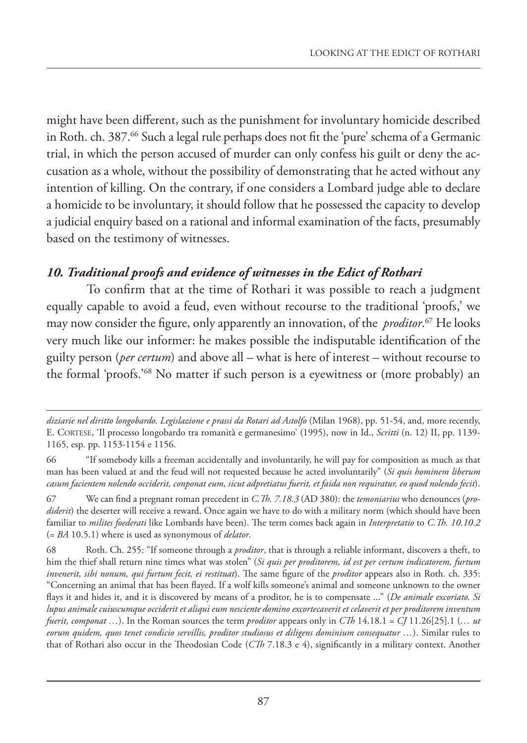might have been different, such as the punishment for involuntary homicide described in Roth. ch. 387.66 Such a legal rule perhaps does not fit the 'pure' schema of a Germanic trial, in which the person accused of murder can only confess his guilt or deny the accusation as a whole, without the possibility of demonstrating that he acted without any intention of killing. On the contrary, if one considers a Lombard judge able to declare a homicide to be involuntary, it should follow that he possessed the capacity to develop a judicial enquiry based on a rational and informal examination of the facts, presumably based on the testimony of witnesses.

### *10. Traditional proofs and evidence of witnesses in the Edict of Rothari*

To confirm that at the time of Rothari it was possible to reach a judgment equally capable to avoid a feud, even without recourse to the traditional 'proofs,' we may now consider the figure, only apparently an innovation, of the *proditor*. 67 He looks very much like our informer: he makes possible the indisputable identification of the guilty person (*per certum*) and above all – what is here of interest – without recourse to the formal 'proofs.'68 No matter if such person is a eyewitness or (more probably) an

*diziarie nel diritto longobardo. Legislazione e prassi da Rotari ad Astolfo* (Milan 1968), pp. 51-54, and, more recently, E. CORTESE, 'Il processo longobardo tra romanità e germanesimo' (1995), now in Id., *Scritti* (n. 12) II, pp. 1139- 1165, esp. pp. 1153-1154 e 1156.

<sup>66</sup> "If somebody kills a freeman accidentally and involuntarily, he will pay for composition as much as that man has been valued at and the feud will not requested because he acted involuntarily" (*Si quis hominem liberum casum facientem nolendo occiderit, conponat eum, sicut adpretiatus fuerit, et faida non requiratur, eo quod nolendo fecit*).

<sup>67</sup> We can find a pregnant roman precedent in *C.Th. 7.18.3* (AD 380): the *temoniarius* who denounces (*prodiderit*) the deserter will receive a reward. Once again we have to do with a military norm (which should have been familiar to *milites foederati* like Lombards have been). The term comes back again in *Interpretatio* to *C.Th. 10.10.2* (= *BA* 10.5.1) where is used as synonymous of *delator*.

<sup>68</sup> Roth. Ch. 255: "If someone through a *proditor*, that is through a reliable informant, discovers a theft, to him the thief shall return nine times what was stolen" (*Si quis per proditorem, id est per certum indicatorem, furtum invenerit, sibi nonum, qui furtum fecit, ei restituat*). The same figure of the *proditor* appears also in Roth. ch. 335: "Concerning an animal that has been flayed. If a wolf kills someone's animal and someone unknown to the owner flays it and hides it, and it is discovered by means of a proditor, he is to compensate ..." (*De animale excoriato. Si lupus animale cuiuscumque occiderit et aliqui eum nesciente domino excortecaverit et celaverit et per proditorem inventum fuerit, componat …*). In the Roman sources the term *proditor* appears only in *CTh* 14.18.1 = *CJ* 11.26[25].1 (*… ut eorum quidem, quos tenet condicio servillis, proditor studiosus et diligens dominium consequatur …*). Similar rules to that of Rothari also occur in the Theodosian Code (*CTh* 7.18.3 e 4), significantly in a military context. Another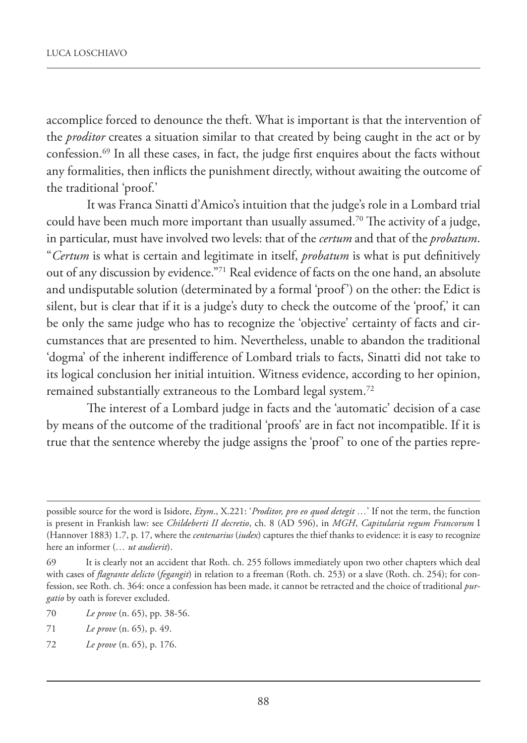accomplice forced to denounce the theft. What is important is that the intervention of the *proditor* creates a situation similar to that created by being caught in the act or by confession.69 In all these cases, in fact, the judge first enquires about the facts without any formalities, then inflicts the punishment directly, without awaiting the outcome of the traditional 'proof.'

It was Franca Sinatti d'Amico's intuition that the judge's role in a Lombard trial could have been much more important than usually assumed.<sup>70</sup> The activity of a judge, in particular, must have involved two levels: that of the *certum* and that of the *probatum*. "*Certum* is what is certain and legitimate in itself, *probatum* is what is put definitively out of any discussion by evidence."71 Real evidence of facts on the one hand, an absolute and undisputable solution (determinated by a formal 'proof') on the other: the Edict is silent, but is clear that if it is a judge's duty to check the outcome of the 'proof,' it can be only the same judge who has to recognize the 'objective' certainty of facts and circumstances that are presented to him. Nevertheless, unable to abandon the traditional 'dogma' of the inherent indifference of Lombard trials to facts, Sinatti did not take to its logical conclusion her initial intuition. Witness evidence, according to her opinion, remained substantially extraneous to the Lombard legal system.72

The interest of a Lombard judge in facts and the 'automatic' decision of a case by means of the outcome of the traditional 'proofs' are in fact not incompatible. If it is true that the sentence whereby the judge assigns the 'proof' to one of the parties repre-

possible source for the word is Isidore, *Etym*., X.221: '*Proditor, pro eo quod detegit …*' If not the term, the function is present in Frankish law: see *Childeberti II decretio*, ch. 8 (AD 596), in *MGH*, *Capitularia regum Francorum* I (Hannover 1883) 1.7, p. 17, where the *centenarius* (*iudex*) captures the thief thanks to evidence: it is easy to recognize here an informer (*… ut audierit*).

<sup>69</sup> It is clearly not an accident that Roth. ch. 255 follows immediately upon two other chapters which deal with cases of *flagrante delicto* (*fegangit*) in relation to a freeman (Roth. ch. 253) or a slave (Roth. ch. 254); for confession, see Roth. ch. 364: once a confession has been made, it cannot be retracted and the choice of traditional *purgatio* by oath is forever excluded.

<sup>70</sup> *Le prove* (n. 65), pp. 38-56.

<sup>71</sup> *Le prove* (n. 65), p. 49.

<sup>72</sup> *Le prove* (n. 65), p. 176.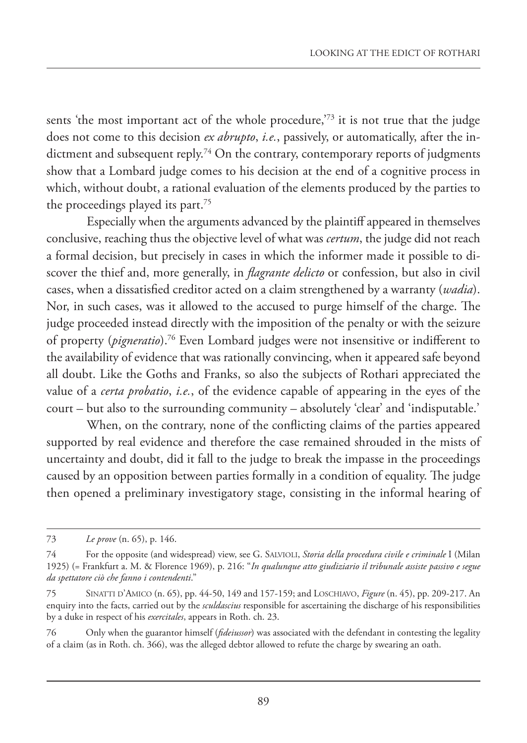sents 'the most important act of the whole procedure,<sup>73</sup> it is not true that the judge does not come to this decision *ex abrupto*, *i.e.*, passively, or automatically, after the indictment and subsequent reply.<sup>74</sup> On the contrary, contemporary reports of judgments show that a Lombard judge comes to his decision at the end of a cognitive process in which, without doubt, a rational evaluation of the elements produced by the parties to the proceedings played its part.75

Especially when the arguments advanced by the plaintiff appeared in themselves conclusive, reaching thus the objective level of what was *certum*, the judge did not reach a formal decision, but precisely in cases in which the informer made it possible to discover the thief and, more generally, in *flagrante delicto* or confession, but also in civil cases, when a dissatisfied creditor acted on a claim strengthened by a warranty (*wadia*). Nor, in such cases, was it allowed to the accused to purge himself of the charge. The judge proceeded instead directly with the imposition of the penalty or with the seizure of property (*pigneratio*).76 Even Lombard judges were not insensitive or indifferent to the availability of evidence that was rationally convincing, when it appeared safe beyond all doubt. Like the Goths and Franks, so also the subjects of Rothari appreciated the value of a *certa probatio*, *i.e.*, of the evidence capable of appearing in the eyes of the court – but also to the surrounding community – absolutely 'clear' and 'indisputable.'

When, on the contrary, none of the conflicting claims of the parties appeared supported by real evidence and therefore the case remained shrouded in the mists of uncertainty and doubt, did it fall to the judge to break the impasse in the proceedings caused by an opposition between parties formally in a condition of equality. The judge then opened a preliminary investigatory stage, consisting in the informal hearing of

<sup>73</sup> *Le prove* (n. 65), p. 146.

<sup>74</sup> For the opposite (and widespread) view, see G. SALVIOLI, *Storia della procedura civile e criminale* I (Milan 1925) (= Frankfurt a. M. & Florence 1969), p. 216: "*In qualunque atto giudiziario il tribunale assiste passivo e segue da spettatore ciò che fanno i contendenti*."

<sup>75</sup> SINATTI D'AMICO (n. 65), pp. 44-50, 149 and 157-159; and LOSCHIAVO, *Figure* (n. 45), pp. 209-217. An enquiry into the facts, carried out by the *sculdascius* responsible for ascertaining the discharge of his responsibilities by a duke in respect of his *exercitales*, appears in Roth. ch. 23.

<sup>76</sup> Only when the guarantor himself (*fideiussor*) was associated with the defendant in contesting the legality of a claim (as in Roth. ch. 366), was the alleged debtor allowed to refute the charge by swearing an oath.